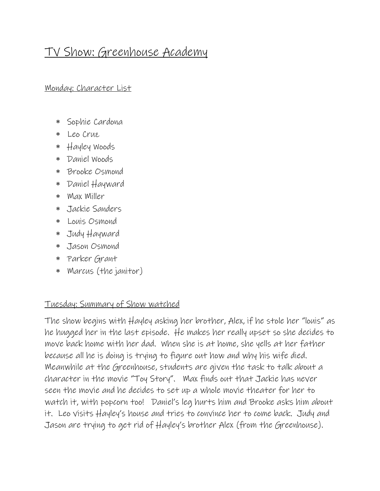## TV Show: Greenhouse Academy

Monday: Character List

- Sophie Cardona
- Leo Cruz
- Hayley Woods
- Daniel Woods
- Brooke Osmond
- Daniel Hayward
- Max Miller
- Jackie Sanders
- Louis Osmond
- Judy Hayward
- Jason Osmond
- Parker Grant
- Marcus (the janitor)

## Tuesday: Summary of Show watched

The show begins with Hayley asking her brother, Alex, if he stole her "louis" as he hugged her in the last episode. He makes her really upset so she decides to move back home with her dad. When she is at home, she yells at her father because all he is doing is trying to figure out how and why his wife died. Meanwhile at the Greenhouse, students are given the task to talk about a character in the movie "Toy Story". Max finds out that Jackie has never seen the movie and he decides to set up a whole movie theater for her to watch it, with popcorn too! Daniel's leg hurts him and Brooke asks him about it. Leo visits Hayley's house and tries to convince her to come back. Judy and Jason are trying to get rid of Hayley's brother Alex (from the Greenhouse).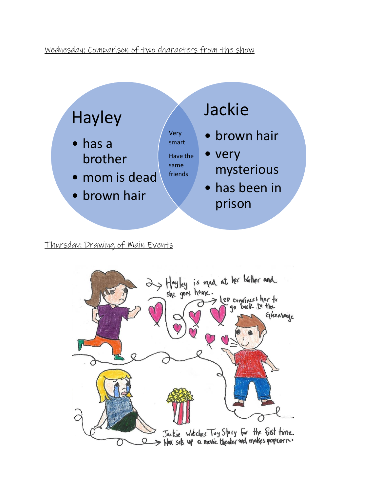## Wednesday: Comparison of two characters from the show



Thursday: Drawing of Main Events